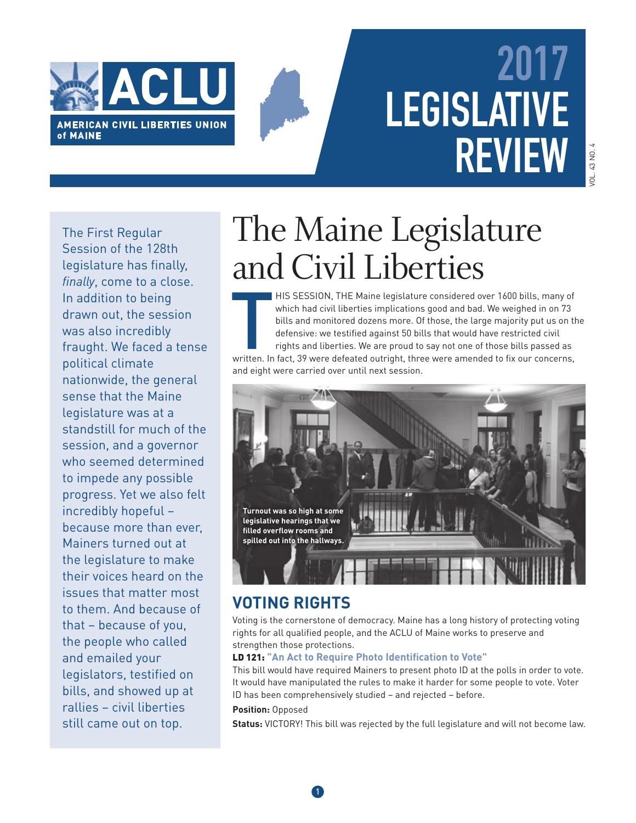

# **2017 LEGISLATIVE REVIEW**

The First Regular Session of the 128th legislature has finally, *finally*, come to a close. In addition to being drawn out, the session was also incredibly fraught. We faced a tense political climate nationwide, the general sense that the Maine legislature was at a standstill for much of the session, and a governor who seemed determined to impede any possible progress. Yet we also felt incredibly hopeful – because more than ever, Mainers turned out at the legislature to make their voices heard on the issues that matter most to them. And because of that – because of you, the people who called and emailed your legislators, testified on bills, and showed up at rallies – civil liberties still came out on top.

## The Maine Legislature and Civil Liberties

HIS SESSION, THE Maine legislature considered over 1600 bills, many of which had civil liberties implications good and bad. We weighed in on 73 bills and monitored dozens more. Of those, the large majority put us on the de HIS SESSION, THE Maine legislature considered over 1600 bills, many of which had civil liberties implications good and bad. We weighed in on 73 bills and monitored dozens more. Of those, the large majority put us on the defensive: we testified against 50 bills that would have restricted civil rights and liberties. We are proud to say not one of those bills passed as and eight were carried over until next session.



## **VOTING RIGHTS**

Voting is the cornerstone of democracy. Maine has a long history of protecting voting rights for all qualified people, and the ACLU of Maine works to preserve and strengthen those protections.

### LD 121: "An Act to Require Photo Identification to Vote"

This bill would have required Mainers to present photo ID at the polls in order to vote. It would have manipulated the rules to make it harder for some people to vote. Voter ID has been comprehensively studied – and rejected – before.

### **Position:** Opposed

**Status:** VICTORY! This bill was rejected by the full legislature and will not become law.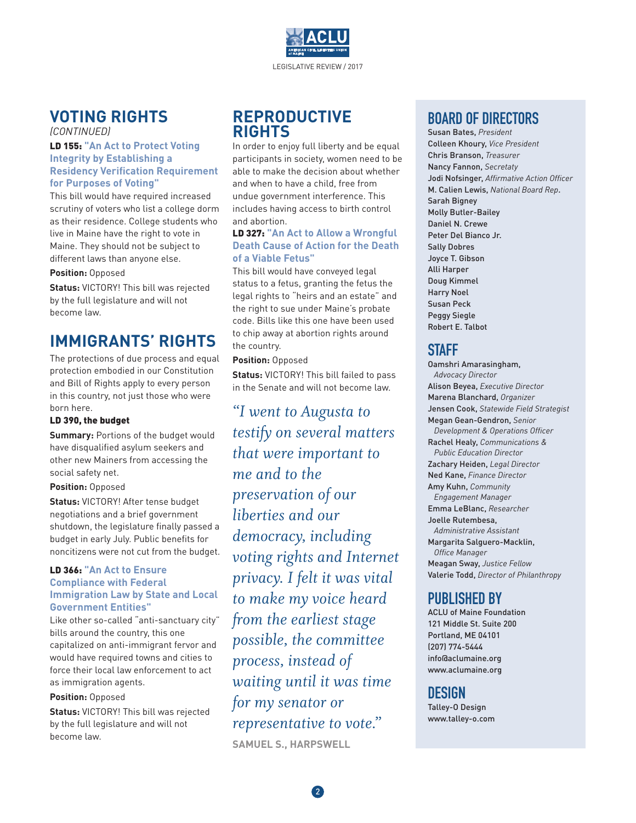

## **VOTING RIGHTS**

*(CONTINUED)*

#### LD 155: **"An Act to Protect Voting Integrity by Establishing a Residency Verification Requirement for Purposes of Voting"**

This bill would have required increased scrutiny of voters who list a college dorm as their residence. College students who live in Maine have the right to vote in Maine. They should not be subject to different laws than anyone else.

#### **Position:** Opposed

**Status:** VICTORY! This bill was rejected by the full legislature and will not become law.

## **IMMIGRANTS' RIGHTS**

The protections of due process and equal protection embodied in our Constitution and Bill of Rights apply to every person in this country, not just those who were born here.

### LD 390, the budget

**Summary:** Portions of the budget would have disqualified asylum seekers and other new Mainers from accessing the social safety net.

#### **Position:** Opposed

**Status:** VICTORY! After tense budget negotiations and a brief government shutdown, the legislature finally passed a budget in early July. Public benefits for noncitizens were not cut from the budget.

#### LD 366: **"An Act to Ensure Compliance with Federal Immigration Law by State and Local Government Entities"**

Like other so-called "anti-sanctuary city" bills around the country, this one capitalized on anti-immigrant fervor and would have required towns and cities to force their local law enforcement to act as immigration agents.

#### **Position:** Opposed

**Status:** VICTORY! This bill was rejected by the full legislature and will not become law.

## **REPRODUCTIVE RIGHTS**

In order to enjoy full liberty and be equal participants in society, women need to be able to make the decision about whether and when to have a child, free from undue government interference. This includes having access to birth control and abortion.

#### LD 327: **"An Act to Allow a Wrongful Death Cause of Action for the Death of a Viable Fetus"**

This bill would have conveyed legal status to a fetus, granting the fetus the legal rights to "heirs and an estate" and the right to sue under Maine's probate code. Bills like this one have been used to chip away at abortion rights around the country.

#### **Position:** Opposed

**Status:** VICTORY! This bill failed to pass in the Senate and will not become law.

*"I went to Augusta to testify on several matters that were important to me and to the preservation of our liberties and our democracy, including voting rights and Internet privacy. I felt it was vital to make my voice heard from the earliest stage possible, the committee process, instead of waiting until it was time for my senator or representative to vote."* **SAMUEL S., HARPSWELL**

## **BOARD OF DIRECTORS**

Susan Bates, *President* Colleen Khoury, *Vice President* Chris Branson, *Treasurer* Nancy Fannon, *Secretaty* Jodi Nofsinger, *Affirmative Action Officer* M. Calien Lewis, *National Board Rep*. Sarah Bigney Molly Butler-Bailey Daniel N. Crewe Peter Del Bianco Jr. Sally Dobres Joyce T. Gibson Alli Harper Doug Kimmel Harry Noel Susan Peck Peggy Siegle Robert E. Talbot

## **STAFF**

Oamshri Amarasingham, *Advocacy Director* Alison Beyea, *Executive Director* Marena Blanchard, *Organizer* Jensen Cook, *Statewide Field Strategist* Megan Gean-Gendron, *Senior Development & Operations Officer* Rachel Healy, *Communications & Public Education Director* Zachary Heiden, *Legal Director* Ned Kane, *Finance Director* Amy Kuhn, *Community Engagement Manager* Emma LeBlanc, *Researcher* Joelle Rutembesa, *Administrative Assistant* Margarita Salguero-Macklin, *Office Manager* Meagan Sway, *Justice Fellow* Valerie Todd, *Director of Philanthropy*

## **PUBLISHED BY**

ACLU of Maine Foundation 121 Middle St. Suite 200 Portland, ME 04101 (207) 774-5444 info@aclumaine.org www.aclumaine.org

## **DESIGN**

Talley-O Design www.talley-o.com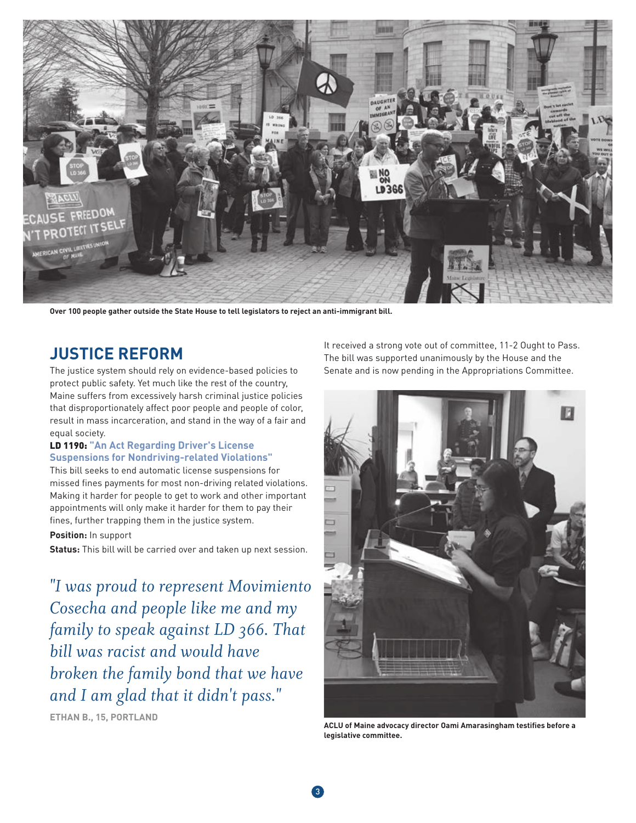

**Over 100 people gather outside the State House to tell legislators to reject an anti-immigrant bill.**

## **JUSTICE REFORM**

The justice system should rely on evidence-based policies to protect public safety. Yet much like the rest of the country, Maine suffers from excessively harsh criminal justice policies that disproportionately affect poor people and people of color, result in mass incarceration, and stand in the way of a fair and equal society.

#### LD 1190: **"An Act Regarding Driver's License Suspensions for Nondriving-related Violations"**

This bill seeks to end automatic license suspensions for missed fines payments for most non-driving related violations. Making it harder for people to get to work and other important appointments will only make it harder for them to pay their fines, further trapping them in the justice system.

**Position:** In support

**Status:** This bill will be carried over and taken up next session.

*"I was proud to represent Movimiento Cosecha and people like me and my family to speak against LD 366. That bill was racist and would have broken the family bond that we have and I am glad that it didn't pass."* 

**ETHAN B., 15, PORTLAND**

It received a strong vote out of committee, 11-2 Ought to Pass. The bill was supported unanimously by the House and the Senate and is now pending in the Appropriations Committee.



**ACLU of Maine advocacy director Oami Amarasingham testifies before a legislative committee.**